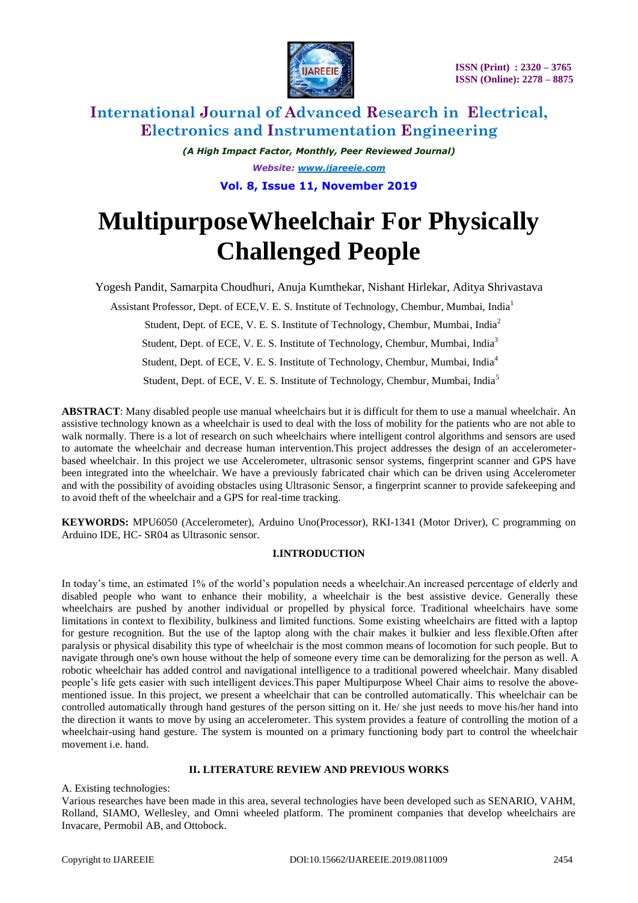

*(A High Impact Factor, Monthly, Peer Reviewed Journal) Website: [www.ijareeie.com](http://www.ijareeie.com/)* **Vol. 8, Issue 11, November 2019**

# **MultipurposeWheelchair For Physically Challenged People**

Yogesh Pandit, Samarpita Choudhuri, Anuja Kumthekar, Nishant Hirlekar, Aditya Shrivastava

Assistant Professor, Dept. of ECE,V. E. S. Institute of Technology, Chembur, Mumbai, India<sup>1</sup>

Student, Dept. of ECE, V. E. S. Institute of Technology, Chembur, Mumbai, India<sup>2</sup>

Student, Dept. of ECE, V. E. S. Institute of Technology, Chembur, Mumbai, India<sup>3</sup>

Student, Dept. of ECE, V. E. S. Institute of Technology, Chembur, Mumbai, India<sup>4</sup>

Student, Dept. of ECE, V. E. S. Institute of Technology, Chembur, Mumbai, India<sup>5</sup>

**ABSTRACT**: Many disabled people use manual wheelchairs but it is difficult for them to use a manual wheelchair. An assistive technology known as a wheelchair is used to deal with the loss of mobility for the patients who are not able to walk normally. There is a lot of research on such wheelchairs where intelligent control algorithms and sensors are used to automate the wheelchair and decrease human intervention.This project addresses the design of an accelerometerbased wheelchair. In this project we use Accelerometer, ultrasonic sensor systems, fingerprint scanner and GPS have been integrated into the wheelchair. We have a previously fabricated chair which can be driven using Accelerometer and with the possibility of avoiding obstacles using Ultrasonic Sensor, a fingerprint scanner to provide safekeeping and to avoid theft of the wheelchair and a GPS for real-time tracking.

**KEYWORDS:** MPU6050 (Accelerometer), Arduino Uno(Processor), RKI-1341 (Motor Driver), C programming on Arduino IDE, HC- SR04 as Ultrasonic sensor.

### **I.INTRODUCTION**

In today's time, an estimated 1% of the world's population needs a wheelchair.An increased percentage of elderly and disabled people who want to enhance their mobility, a wheelchair is the best assistive device. Generally these wheelchairs are pushed by another individual or propelled by physical force. Traditional wheelchairs have some limitations in context to flexibility, bulkiness and limited functions. Some existing wheelchairs are fitted with a laptop for gesture recognition. But the use of the laptop along with the chair makes it bulkier and less flexible.Often after paralysis or physical disability this type of wheelchair is the most common means of locomotion for such people. But to navigate through one's own house without the help of someone every time can be demoralizing for the person as well. A robotic wheelchair has added control and navigational intelligence to a traditional powered wheelchair. Many disabled people's life gets easier with such intelligent devices.This paper Multipurpose Wheel Chair aims to resolve the abovementioned issue. In this project, we present a wheelchair that can be controlled automatically. This wheelchair can be controlled automatically through hand gestures of the person sitting on it. He/ she just needs to move his/her hand into the direction it wants to move by using an accelerometer. This system provides a feature of controlling the motion of a wheelchair-using hand gesture. The system is mounted on a primary functioning body part to control the wheelchair movement i.e. hand.

### **II. LITERATURE REVIEW AND PREVIOUS WORKS**

A. Existing technologies:

Various researches have been made in this area, several technologies have been developed such as SENARIO, VAHM, Rolland, SIAMO, Wellesley, and Omni wheeled platform. The prominent companies that develop wheelchairs are Invacare, Permobil AB, and Ottobock.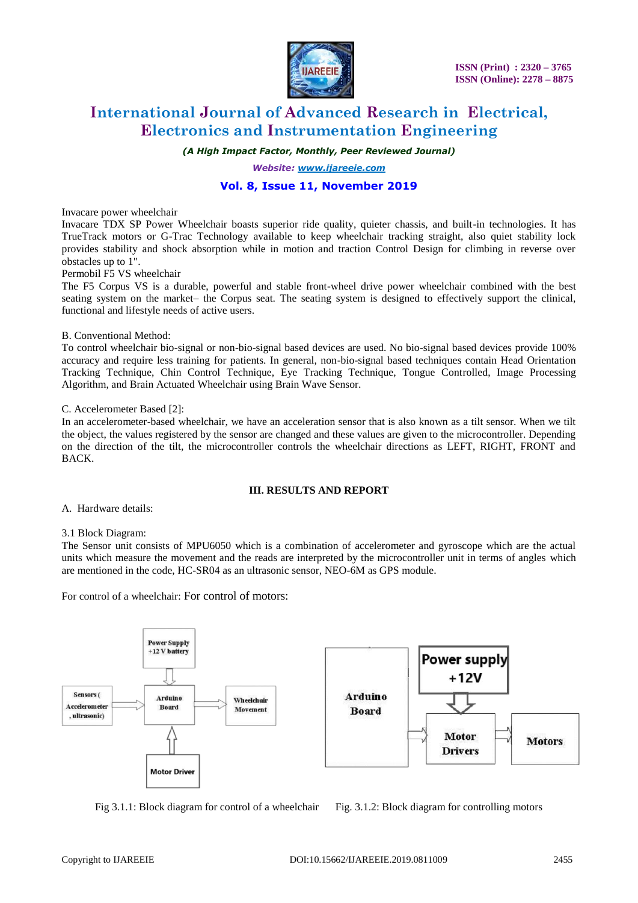

*(A High Impact Factor, Monthly, Peer Reviewed Journal)*

*Website: [www.ijareeie.com](http://www.ijareeie.com/)*

### **Vol. 8, Issue 11, November 2019**

Invacare power wheelchair

Invacare TDX SP Power Wheelchair boasts superior ride quality, quieter chassis, and built-in technologies. It has TrueTrack motors or G-Trac Technology available to keep wheelchair tracking straight, also quiet stability lock provides stability and shock absorption while in motion and traction Control Design for climbing in reverse over obstacles up to 1".

Permobil F5 VS wheelchair

The F5 Corpus VS is a durable, powerful and stable front-wheel drive power wheelchair combined with the best seating system on the market– the Corpus seat. The seating system is designed to effectively support the clinical, functional and lifestyle needs of active users.

#### B. Conventional Method:

To control wheelchair bio-signal or non-bio-signal based devices are used. No bio-signal based devices provide 100% accuracy and require less training for patients. In general, non-bio-signal based techniques contain Head Orientation Tracking Technique, Chin Control Technique, Eye Tracking Technique, Tongue Controlled, Image Processing Algorithm, and Brain Actuated Wheelchair using Brain Wave Sensor.

#### C. Accelerometer Based [2]:

In an accelerometer-based wheelchair, we have an acceleration sensor that is also known as a tilt sensor. When we tilt the object, the values registered by the sensor are changed and these values are given to the microcontroller. Depending on the direction of the tilt, the microcontroller controls the wheelchair directions as LEFT, RIGHT, FRONT and BACK.

#### **III. RESULTS AND REPORT**

A. Hardware details:

### 3.1 Block Diagram:

The Sensor unit consists of MPU6050 which is a combination of accelerometer and gyroscope which are the actual units which measure the movement and the reads are interpreted by the microcontroller unit in terms of angles which are mentioned in the code, HC-SR04 as an ultrasonic sensor, NEO-6M as GPS module.

For control of a wheelchair: For control of motors:





Fig 3.1.1: Block diagram for control of a wheelchair Fig. 3.1.2: Block diagram for controlling motors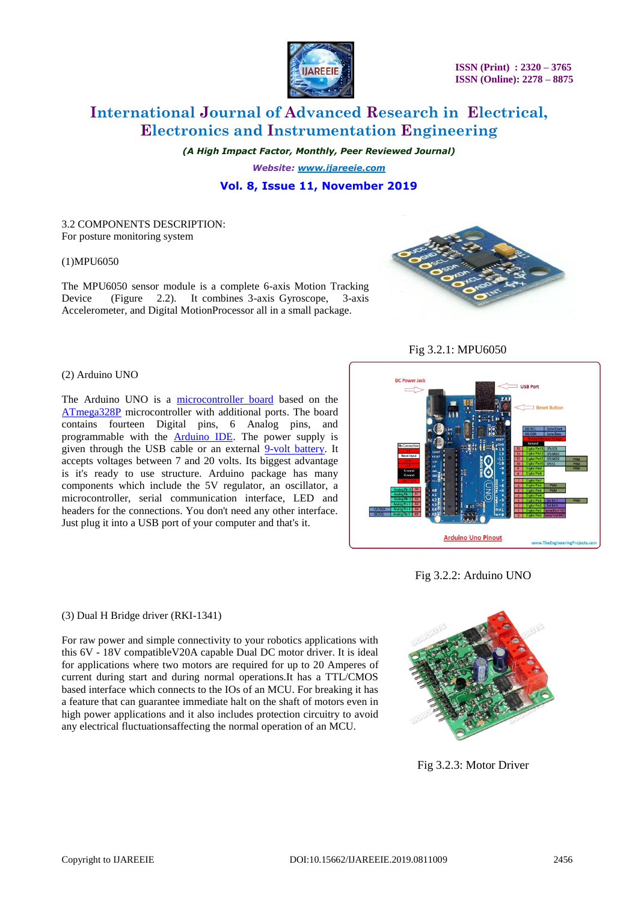

 **ISSN (Print) : 2320 – 3765 ISSN (Online): 2278 – 8875**

### **International Journal of Advanced Research in Electrical, Electronics and Instrumentation Engineering**

*(A High Impact Factor, Monthly, Peer Reviewed Journal)*

*Website: [www.ijareeie.com](http://www.ijareeie.com/)* **Vol. 8, Issue 11, November 2019**

3.2 COMPONENTS DESCRIPTION: For posture monitoring system

#### (1)MPU6050

The MPU6050 sensor module is a complete 6-axis Motion Tracking Device (Figure 2.2). It combines 3-axis Gyroscope, 3-axis Accelerometer, and Digital MotionProcessor all in a small package.



Fig 3.2.1: MPU6050

#### (2) Arduino UNO

The Arduino UNO is a [microcontroller board](https://en.wikipedia.org/wiki/Microcontroller_board) based on the [ATmega328P](https://en.wikipedia.org/wiki/ATmega328P) microcontroller with additional ports. The board contains fourteen Digital pins, 6 Analog pins, and programmable with the [Arduino IDE.](https://en.wikipedia.org/wiki/Arduino#Software) The power supply is given through the USB cable or an external [9-volt battery.](https://en.wikipedia.org/wiki/9-volt_battery) It accepts voltages between 7 and 20 volts. Its biggest advantage is it's ready to use structure. Arduino package has many components which include the 5V regulator, an oscillator, a microcontroller, serial communication interface, LED and headers for the connections. You don't need any other interface. Just plug it into a USB port of your computer and that's it.



Fig 3.2.2: Arduino UNO

### (3) Dual H Bridge driver (RKI-1341)

For raw power and simple connectivity to your robotics applications with this 6V - 18V compatibleV20A capable Dual DC motor driver. It is ideal for applications where two motors are required for up to 20 Amperes of current during start and during normal operations.It has a TTL/CMOS based interface which connects to the IOs of an MCU. For breaking it has a feature that can guarantee immediate halt on the shaft of motors even in high power applications and it also includes protection circuitry to avoid any electrical fluctuationsaffecting the normal operation of an MCU.



Fig 3.2.3: Motor Driver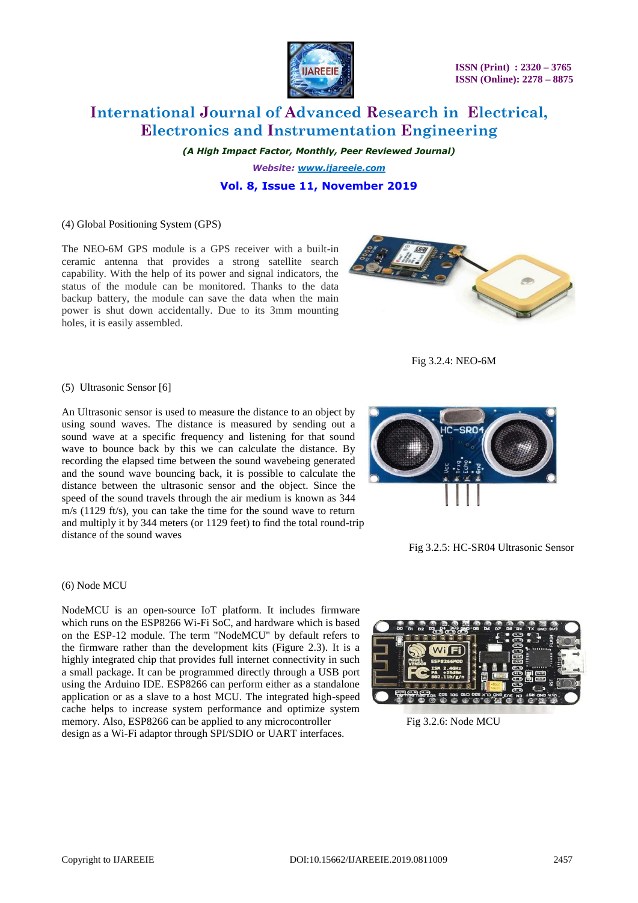

*(A High Impact Factor, Monthly, Peer Reviewed Journal) Website: [www.ijareeie.com](http://www.ijareeie.com/)*

**Vol. 8, Issue 11, November 2019**

### (4) Global Positioning System (GPS)

The NEO-6M GPS module is a GPS receiver with a built-in ceramic antenna that provides a strong satellite search capability. With the help of its power and signal indicators, the status of the module can be monitored. Thanks to the data backup battery, the module can save the data when the main power is shut down accidentally. Due to its 3mm mounting holes, it is easily assembled.

(5) Ultrasonic Sensor [6]

An Ultrasonic sensor is used to measure the distance to an object by using sound waves. The distance is measured by sending out a sound wave at a specific frequency and listening for that sound wave to bounce back by this we can calculate the distance. By recording the elapsed time between the sound wavebeing generated and the sound wave bouncing back, it is possible to calculate the distance between the ultrasonic sensor and the object. Since the speed of the sound travels through the air medium is known as 344 m/s (1129 ft/s), you can take the time for the sound wave to return and multiply it by 344 meters (or 1129 feet) to find the total round-trip distance of the sound waves

(6) Node MCU

NodeMCU is an open-source IoT platform. It includes firmware which runs on the ESP8266 Wi-Fi SoC, and hardware which is based on the ESP-12 module. The term "NodeMCU" by default refers to the firmware rather than the development kits (Figure 2.3). It is a highly integrated chip that provides full internet connectivity in such a small package. It can be programmed directly through a USB port using the Arduino IDE. ESP8266 can perform either as a standalone application or as a slave to a host MCU. The integrated high-speed cache helps to increase system performance and optimize system memory. Also, ESP8266 can be applied to any microcontroller Fig 3.2.6: Node MCU design as a Wi-Fi adaptor through SPI/SDIO or UART interfaces.



Fig 3.2.4: NEO-6M





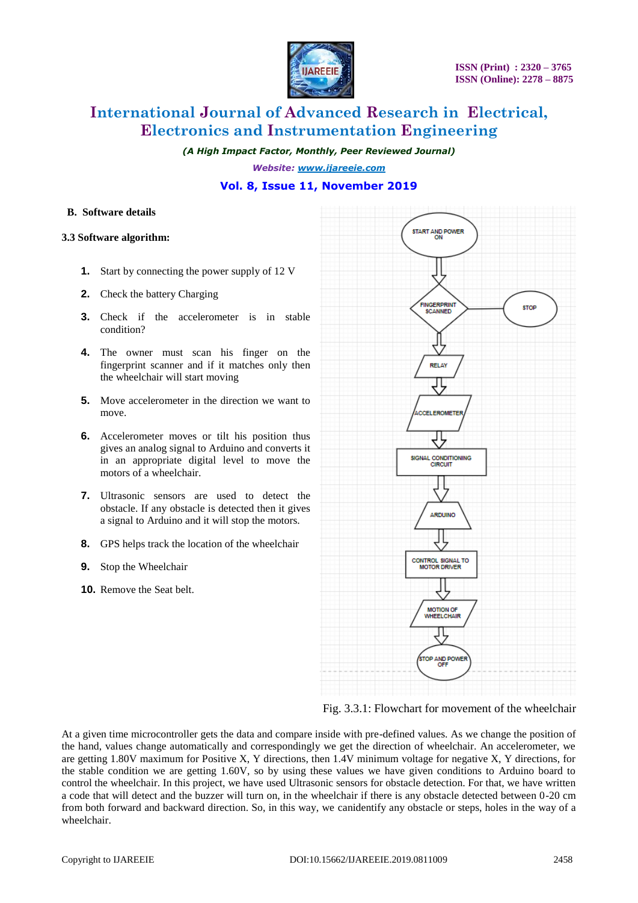

*(A High Impact Factor, Monthly, Peer Reviewed Journal)*

*Website: [www.ijareeie.com](http://www.ijareeie.com/)*

### **Vol. 8, Issue 11, November 2019**

### **B. Software details**

### **3.3 Software algorithm:**

- **1.** Start by connecting the power supply of 12 V
- **2.** Check the battery Charging
- **3.** Check if the accelerometer is in stable condition?
- **4.** The owner must scan his finger on the fingerprint scanner and if it matches only then the wheelchair will start moving
- **5.** Move accelerometer in the direction we want to move.
- **6.** Accelerometer moves or tilt his position thus gives an analog signal to Arduino and converts it in an appropriate digital level to move the motors of a wheelchair.
- **7.** Ultrasonic sensors are used to detect the obstacle. If any obstacle is detected then it gives a signal to Arduino and it will stop the motors.
- **8.** GPS helps track the location of the wheelchair
- **9.** Stop the Wheelchair
- **10.** Remove the Seat belt.



Fig. 3.3.1: Flowchart for movement of the wheelchair

At a given time microcontroller gets the data and compare inside with pre-defined values. As we change the position of the hand, values change automatically and correspondingly we get the direction of wheelchair. An accelerometer, we are getting 1.80V maximum for Positive X, Y directions, then 1.4V minimum voltage for negative X, Y directions, for the stable condition we are getting 1.60V, so by using these values we have given conditions to Arduino board to control the wheelchair. In this project, we have used Ultrasonic sensors for obstacle detection. For that, we have written a code that will detect and the buzzer will turn on, in the wheelchair if there is any obstacle detected between 0-20 cm from both forward and backward direction. So, in this way, we canidentify any obstacle or steps, holes in the way of a wheelchair.